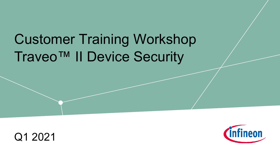# Customer Training Workshop Traveo™ II Device Security



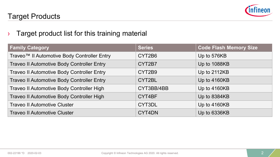

#### Target Products

#### $\rightarrow$  Target product list for this training material

| <b>Family Category</b>                      | <b>Series</b> | <b>Code Flash Memory Size</b> |
|---------------------------------------------|---------------|-------------------------------|
| Traveo™ II Automotive Body Controller Entry | CYT2B6        | Up to 576KB                   |
| Traveo II Automotive Body Controller Entry  | CYT2B7        | Up to 1088KB                  |
| Traveo II Automotive Body Controller Entry  | CYT2B9        | Up to 2112KB                  |
| Traveo II Automotive Body Controller Entry  | CYT2BL        | Up to 4160KB                  |
| Traveo II Automotive Body Controller High   | CYT3BB/4BB    | Up to 4160KB                  |
| Traveo II Automotive Body Controller High   | CYT4BF        | Up to 8384KB                  |
| <b>Traveo II Automotive Cluster</b>         | CYT3DL        | Up to 4160KB                  |
| <b>Traveo II Automotive Cluster</b>         | CYT4DN        | Up to 6336KB                  |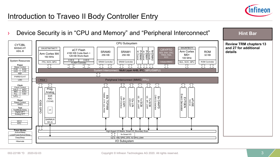

## Introduction to Traveo II Body Controller Entry

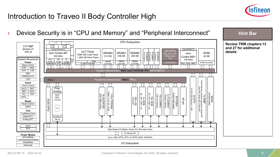

## Introduction to Traveo II Body Controller High

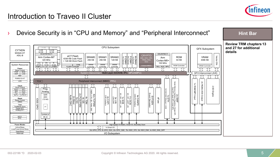

## Introduction to Traveo II Cluster

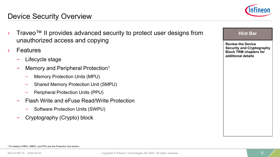

#### Device Security Overview

- Traveo™ II provides advanced security to protect user designs from unauthorized access and copying
- **Features** 
	- Lifecycle stage
	- Memory and Peripheral Protection<sup>1</sup>
		- Memory Protection Units (MPU)
		- Shared Memory Protection Unit (SMPU)
		- Peripheral Protection Units (PPU)
	- Flash Write and eFuse Read/Write Protection
		- Software Protection Units (SWPU)
	- Cryptography (Crypto) block

| <b>Review the Device</b>         |
|----------------------------------|
| <b>Security and Cryptography</b> |
| <b>Block TRM chapters for</b>    |
| additional details               |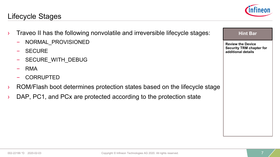#### Lifecycle Stages

- $\rightarrow$  Traveo II has the following nonvolatile and irreversible lifecycle stages:
	- NORMAL\_PROVISIONED
	- **SECURE**
	- SECURE\_WITH\_DEBUG
	- RMA
	- CORRUPTED
- ROM/Flash boot determines protection states based on the lifecycle stage
- › DAP, PC1, and PCx are protected according to the protection state



**Hint Bar** 

**Review the Device Security TRM chapter for additional details**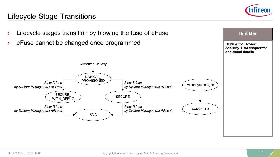

#### Lifecycle Stage Transitions

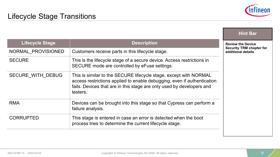

|                        |                                                                                                                                                                                                                                   | <b>Hint Bar</b>                                       |
|------------------------|-----------------------------------------------------------------------------------------------------------------------------------------------------------------------------------------------------------------------------------|-------------------------------------------------------|
| <b>Lifecycle Stage</b> | <b>Description</b>                                                                                                                                                                                                                | <b>Review the Device</b>                              |
| NORMAL PROVISIONED     | Customers receive parts in this lifecycle stage.                                                                                                                                                                                  | <b>Security TRM chapter for</b><br>additional details |
| <b>SECURE</b>          | This is the lifecycle stage of a secure device. Access restrictions in<br>SECURE mode are controlled by eFuse settings.                                                                                                           |                                                       |
| SECURE WITH DEBUG      | This is similar to the SECURE lifecycle stage, except with NORMAL<br>access restrictions applied to enable debugging, even if authentication<br>fails. Devices that are in this stage are only used by developers and<br>testers. |                                                       |
| <b>RMA</b>             | Devices can be brought into this stage so that Cypress can perform a<br>failure analysis.                                                                                                                                         |                                                       |
| <b>CORRUPTED</b>       | This stage is entered in case an error is detected when the boot<br>process tries to determine the current lifecycle stage.                                                                                                       |                                                       |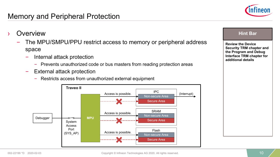

- **Overview** 
	- The MPU/SMPU/PPU restrict access to memory or peripheral address space
		- Internal attack protection
			- Prevents unauthorized code or bus masters from reading protection areas
		- External attack protection
			- Restricts access from unauthorized external equipment



#### **Hint Bar**

**Review the Device Security TRM chapter and the Program and Debug Interface TRM chapter for additional details**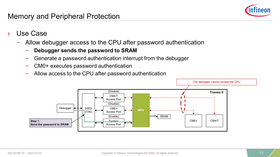

- Use Case
	- Allow debugger access to the CPU after password authentication
		- **Debugger sends the password to SRAM**
		- Generate a password authentication interrupt from the debugger
		- CM0+ executes password authentication
		- Allow access to the CPU after password authentication

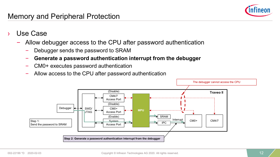

- Use Case
	- Allow debugger access to the CPU after password authentication
		- Debugger sends the password to SRAM
		- **Generate a password authentication interrupt from the debugger**
		- CM0+ executes password authentication
		- Allow access to the CPU after password authentication

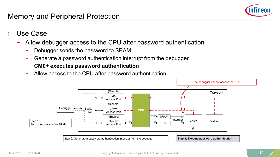- Use Case
	- Allow debugger access to the CPU after password authentication
		- Debugger sends the password to SRAM
		- Generate a password authentication interrupt from the debugger
		- **CM0+ executes password authentication**
		- Allow access to the CPU after password authentication

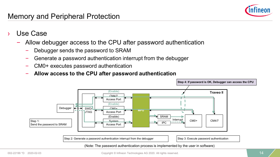

- Use Case
	- Allow debugger access to the CPU after password authentication
		- Debugger sends the password to SRAM
		- Generate a password authentication interrupt from the debugger
		- CM0+ executes password authentication
		- **Allow access to the CPU after password authentication**

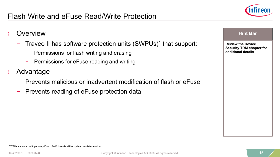### Flash Write and eFuse Read/Write Protection



#### **Overview**

- Traveo II has software protection units (SWPUs)<sup>1</sup> that support:
	- Permissions for flash writing and erasing
	- Permissions for eFuse reading and writing
- **Advantage** 
	- Prevents malicious or inadvertent modification of flash or eFuse
	- Prevents reading of eFuse protection data

#### **Hint Bar**

**Review the Device Security TRM chapter for additional details**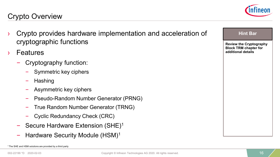

**Hint Bar** 

**Review the Cryptography Block TRM chapter for additional details**

#### Crypto Overview

- › Crypto provides hardware implementation and acceleration of cryptographic functions
- **Features** 
	- Cryptography function:
		- Symmetric key ciphers
		- Hashing
		- Asymmetric key ciphers
		- Pseudo-Random Number Generator (PRNG)
		- True Random Number Generator (TRNG)
		- Cyclic Redundancy Check (CRC)
	- Secure Hardware Extension (SHE)<sup>1</sup>
	- Hardware Security Module (HSM)<sup>1</sup>

<sup>&</sup>lt;sup>1</sup> The SHE and HSM solutions are provided by a third party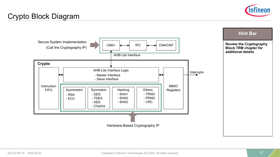

#### Crypto Block Diagram

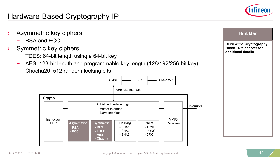

**Hint Bar** 

**Review the Cryptography Block TRM chapter for additional details**

#### Hardware-Based Cryptography IP

- Asymmetric key ciphers
	- RSA and ECC
- Symmetric key ciphers
	- TDES: 64-bit length using a 64-bit key
	- AES: 128-bit length and programmable key length (128/192/256-bit key)
	- Chacha20: 512 random-looking bits

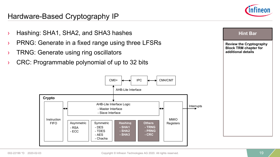

#### Hardware-Based Cryptography IP

› Hashing: SHA1, SHA2, and SHA3 hashes › PRNG: Generate in a fixed range using three LFSRs › TRNG: Generate using ring oscillators CRC: Programmable polynomial of up to 32 bits **Hint Bar Review the Cryptography Block TRM chapter for additional details** AHB-Lite Interface Logic AHB-Lite Interface MMIO **Registers** Interrupts Instruction FIFO - Master Interface - Slave Interface **Crypto**  $CMO+$   $\leftarrow$  IPC  $\leftarrow$  CM4/CM7 Asymmetric - RSA - ECC Symmetric - DES - TDES - AES - Chacha **Hashing - SHA1 - SHA2 - SHA3 Others - TRNG - PRNG - CRC**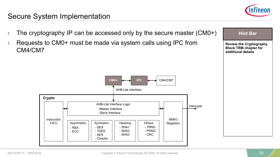#### Secure System Implementation



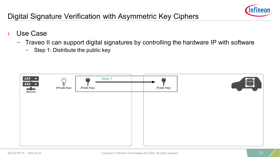

## Digital Signature Verification with Asymmetric Key Ciphers

- Use Case
	- Traveo II can support digital signatures by controlling the hardware IP with software
		- Step 1: Distribute the public key

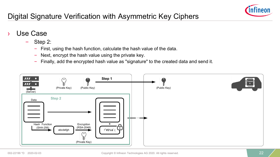

# Digital Signature Verification with Asymmetric Key Ciphers

- Use Case
	- Step 2:
		- First, using the hash function, calculate the hash value of the data.
		- Next, encrypt the hash value using the private key.
		- Finally, add the encrypted hash value as "signature" to the created data and send it.

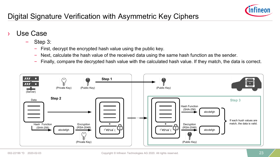

# Digital Signature Verification with Asymmetric Key Ciphers

- Use Case
	- Step 3:
		- First, decrypt the encrypted hash value using the public key.
		- Next, calculate the hash value of the received data using the same hash function as the sender.
		- Finally, compare the decrypted hash value with the calculated hash value. If they match, the data is correct.

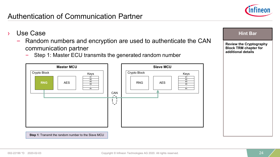

- Use Case
	- Random numbers and encryption are used to authenticate the CAN communication partner
		- Step 1: Master ECU transmits the generated random number



#### **Hint Bar**

**Review the Cryptography Block TRM chapter for additional details**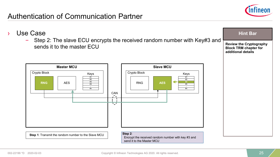

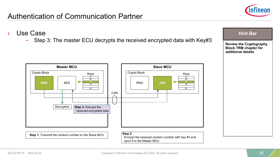

- › Use Case
	- Step 3: The master ECU decrypts the received encrypted data with Key#3



**Hint Bar**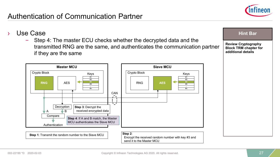



– Step 4: The master ECU checks whether the decrypted data and the transmitted RNG are the same, and authenticates the communication partner if they are the same



**Review Cryptography** 

**Hint Bar** 

**Block TRM chapter for additional details**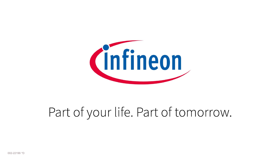

# Part of your life. Part of tomorrow.